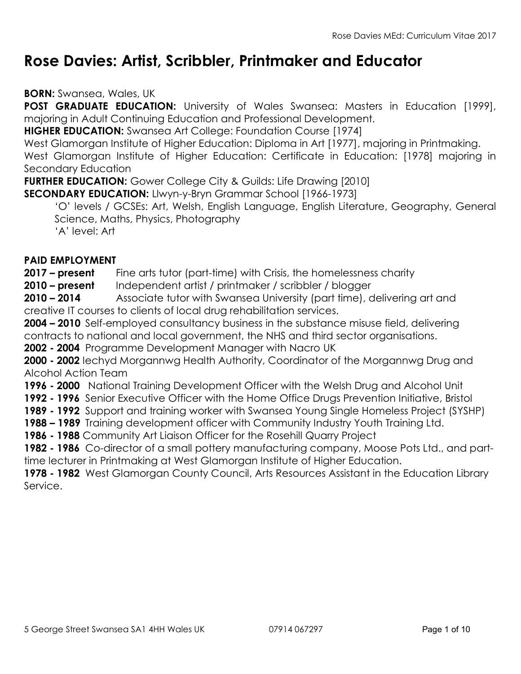# Rose Davies: Artist, Scribbler, Printmaker and Educator

BORN: Swansea, Wales, UK

POST GRADUATE EDUCATION: University of Wales Swansea: Masters in Education [1999], majoring in Adult Continuing Education and Professional Development.

**HIGHER EDUCATION:** Swansea Art College: Foundation Course [1974]

West Glamorgan Institute of Higher Education: Diploma in Art [1977], majoring in Printmaking. West Glamorgan Institute of Higher Education: Certificate in Education: [1978] majoring in Secondary Education

**FURTHER EDUCATION:** Gower College City & Guilds: Life Drawing [2010]

SECONDARY EDUCATION: Llwyn-y-Bryn Grammar School [1966-1973]

'O' levels / GCSEs: Art, Welsh, English Language, English Literature, Geography, General Science, Maths, Physics, Photography

'A' level: Art

### PAID EMPLOYMENT

2017 – present Fine arts tutor (part-time) with Crisis, the homelessness charity

2010 – present Independent artist / printmaker / scribbler / blogger

2010 – 2014 Associate tutor with Swansea University (part time), delivering art and creative IT courses to clients of local drug rehabilitation services.

2004 – 2010 Self-employed consultancy business in the substance misuse field, delivering contracts to national and local government, the NHS and third sector organisations.

2002 - 2004 Programme Development Manager with Nacro UK

2000 - 2002 lechyd Morgannwg Health Authority, Coordinator of the Morgannwg Drug and Alcohol Action Team

1996 - 2000 National Training Development Officer with the Welsh Drug and Alcohol Unit

1992 - 1996 Senior Executive Officer with the Home Office Drugs Prevention Initiative, Bristol

1989 - 1992 Support and training worker with Swansea Young Single Homeless Project (SYSHP)

1988 – 1989 Training development officer with Community Industry Youth Training Ltd.

1986 - 1988 Community Art Liaison Officer for the Rosehill Quarry Project

1982 - 1986 Co-director of a small pottery manufacturing company, Moose Pots Ltd., and parttime lecturer in Printmaking at West Glamorgan Institute of Higher Education.

1978 - 1982 West Glamorgan County Council, Arts Resources Assistant in the Education Library Service.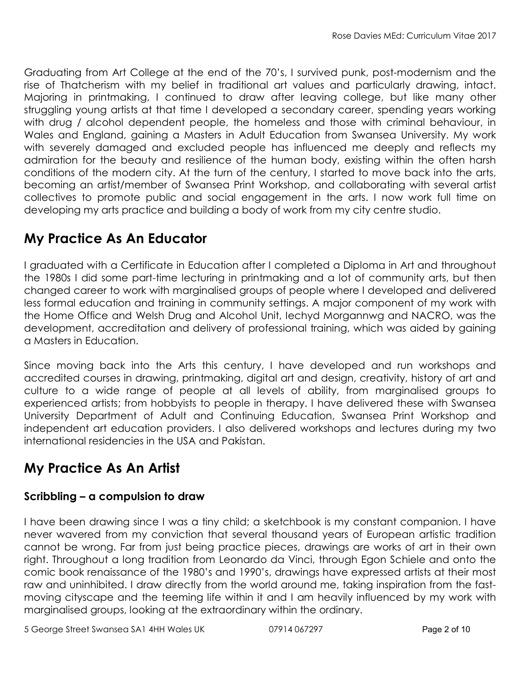Graduating from Art College at the end of the 70's, I survived punk, post-modernism and the rise of Thatcherism with my belief in traditional art values and particularly drawing, intact. Majoring in printmaking, I continued to draw after leaving college, but like many other struggling young artists at that time I developed a secondary career, spending years working with drug / alcohol dependent people, the homeless and those with criminal behaviour, in Wales and England, gaining a Masters in Adult Education from Swansea University. My work with severely damaged and excluded people has influenced me deeply and reflects my admiration for the beauty and resilience of the human body, existing within the often harsh conditions of the modern city. At the turn of the century, I started to move back into the arts, becoming an artist/member of Swansea Print Workshop, and collaborating with several artist collectives to promote public and social engagement in the arts. I now work full time on developing my arts practice and building a body of work from my city centre studio.

## My Practice As An Educator

I graduated with a Certificate in Education after I completed a Diploma in Art and throughout the 1980s I did some part-time lecturing in printmaking and a lot of community arts, but then changed career to work with marginalised groups of people where I developed and delivered less formal education and training in community settings. A major component of my work with the Home Office and Welsh Drug and Alcohol Unit, Iechyd Morgannwg and NACRO, was the development, accreditation and delivery of professional training, which was aided by gaining a Masters in Education.

Since moving back into the Arts this century, I have developed and run workshops and accredited courses in drawing, printmaking, digital art and design, creativity, history of art and culture to a wide range of people at all levels of ability, from marginalised groups to experienced artists; from hobbyists to people in therapy. I have delivered these with Swansea University Department of Adult and Continuing Education, Swansea Print Workshop and independent art education providers. I also delivered workshops and lectures during my two international residencies in the USA and Pakistan.

# My Practice As An Artist

### Scribbling – a compulsion to draw

I have been drawing since I was a tiny child; a sketchbook is my constant companion. I have never wavered from my conviction that several thousand years of European artistic tradition cannot be wrong. Far from just being practice pieces, drawings are works of art in their own right. Throughout a long tradition from Leonardo da Vinci, through Egon Schiele and onto the comic book renaissance of the 1980's and 1990's, drawings have expressed artists at their most raw and uninhibited. I draw directly from the world around me, taking inspiration from the fastmoving cityscape and the teeming life within it and I am heavily influenced by my work with marginalised groups, looking at the extraordinary within the ordinary.

5 George Street Swansea SA1 4HH Wales UK 07914 067297 Page 2 of 10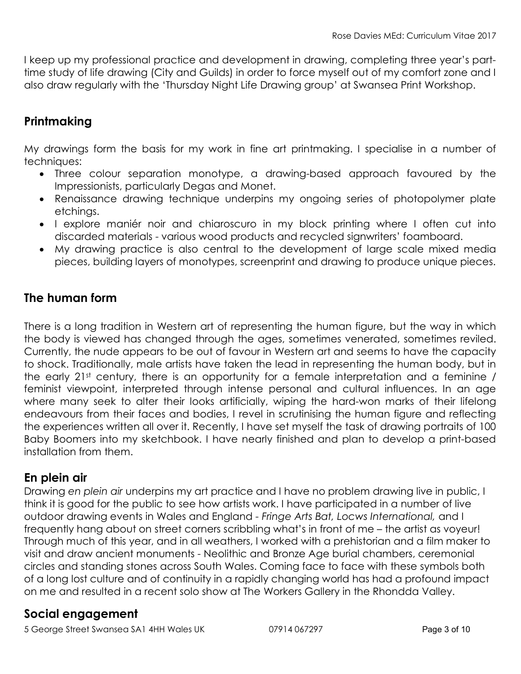I keep up my professional practice and development in drawing, completing three year's parttime study of life drawing (City and Guilds) in order to force myself out of my comfort zone and I also draw regularly with the 'Thursday Night Life Drawing group' at Swansea Print Workshop.

## **Printmaking**

My drawings form the basis for my work in fine art printmaking. I specialise in a number of techniques:

- Three colour separation monotype, a drawing-based approach favoured by the Impressionists, particularly Degas and Monet.
- Renaissance drawing technique underpins my ongoing series of photopolymer plate etchings.
- I explore maniér noir and chiaroscuro in my block printing where I often cut into discarded materials - various wood products and recycled signwriters' foamboard.
- My drawing practice is also central to the development of large scale mixed media pieces, building layers of monotypes, screenprint and drawing to produce unique pieces.

### The human form

There is a long tradition in Western art of representing the human figure, but the way in which the body is viewed has changed through the ages, sometimes venerated, sometimes reviled. Currently, the nude appears to be out of favour in Western art and seems to have the capacity to shock. Traditionally, male artists have taken the lead in representing the human body, but in the early  $21st$  century, there is an opportunity for a female interpretation and a feminine / feminist viewpoint, interpreted through intense personal and cultural influences. In an age where many seek to alter their looks artificially, wiping the hard-won marks of their lifelong endeavours from their faces and bodies, I revel in scrutinising the human figure and reflecting the experiences written all over it. Recently, I have set myself the task of drawing portraits of 100 Baby Boomers into my sketchbook. I have nearly finished and plan to develop a print-based installation from them.

### En plein air

Drawing en plein air underpins my art practice and I have no problem drawing live in public, I think it is good for the public to see how artists work. I have participated in a number of live outdoor drawing events in Wales and England - Fringe Arts Bat, Locws International, and I frequently hang about on street corners scribbling what's in front of me – the artist as voyeur! Through much of this year, and in all weathers, I worked with a prehistorian and a film maker to visit and draw ancient monuments - Neolithic and Bronze Age burial chambers, ceremonial circles and standing stones across South Wales. Coming face to face with these symbols both of a long lost culture and of continuity in a rapidly changing world has had a profound impact on me and resulted in a recent solo show at The Workers Gallery in the Rhondda Valley.

### Social engagement

5 George Street Swansea SA1 4HH Wales UK 07914 067297 Page 3 of 10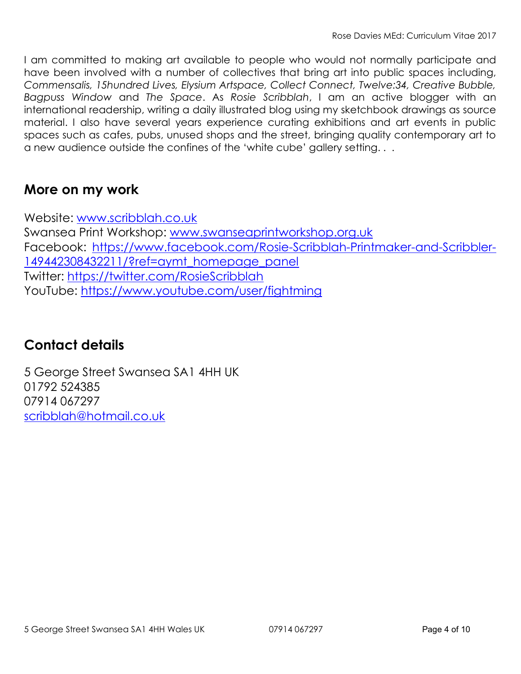I am committed to making art available to people who would not normally participate and have been involved with a number of collectives that bring art into public spaces including, Commensalis, 15hundred Lives, Elysium Artspace, Collect Connect, Twelve:34, Creative Bubble, Bagpuss Window and The Space. As Rosie Scribblah, I am an active blogger with an international readership, writing a daily illustrated blog using my sketchbook drawings as source material. I also have several years experience curating exhibitions and art events in public spaces such as cafes, pubs, unused shops and the street, bringing quality contemporary art to a new audience outside the confines of the 'white cube' gallery setting. . .

## More on my work

Website: www.scribblah.co.uk Swansea Print Workshop: www.swanseaprintworkshop.org.uk Facebook: https://www.facebook.com/Rosie-Scribblah-Printmaker-and-Scribbler-149442308432211/?ref=aymt\_homepage\_panel Twitter: https://twitter.com/RosieScribblah YouTube: https://www.youtube.com/user/fightming

## Contact details

5 George Street Swansea SA1 4HH UK 01792 524385 07914 067297 scribblah@hotmail.co.uk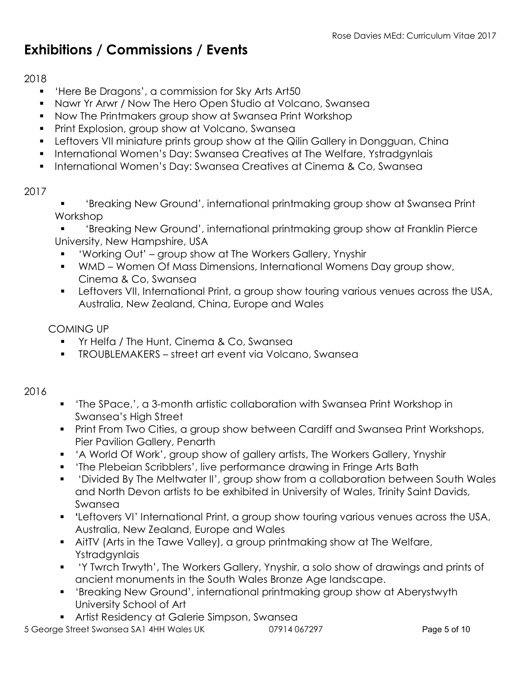# Exhibitions / Commissions / Events

### 2018

- 'Here Be Dragons', a commission for Sky Arts Art50
- Nawr Yr Arwr / Now The Hero Open Studio at Volcano, Swansea
- Now The Printmakers group show at Swansea Print Workshop
- **Print Explosion, group show at Volcano, Swansea**
- **Leftovers VII miniature prints group show at the Qilin Gallery in Dongguan, China**
- **International Women's Day: Swansea Creatives at The Welfare, Ystradgynlais**
- **International Women's Day: Swansea Creatives at Cinema & Co, Swansea**

#### 2017

 'Breaking New Ground', international printmaking group show at Swansea Print Workshop

 'Breaking New Ground', international printmaking group show at Franklin Pierce University, New Hampshire, USA

- 'Working Out' group show at The Workers Gallery, Ynyshir
- WMD Women Of Mass Dimensions, International Womens Day group show, Cinema & Co, Swansea
- **EXTERT 2015 Institute The International Print, a group show touring various venues across the USA,** Australia, New Zealand, China, Europe and Wales

### COMING UP

- **The Hunt, Cinema & Co, Swansea**
- TROUBLEMAKERS street art event via Volcano, Swansea

#### 2016

- 'The SPace,', a 3-month artistic collaboration with Swansea Print Workshop in Swansea's High Street
- **Print From Two Cities, a group show between Cardiff and Swansea Print Workshops,** Pier Pavilion Gallery, Penarth
- 'A World Of Work', group show of gallery artists, The Workers Gallery, Ynyshir
- **The Plebeian Scribblers', live performance drawing in Fringe Arts Bath**
- 'Divided By The Meltwater II', group show from a collaboration between South Wales and North Devon artists to be exhibited in University of Wales, Trinity Saint Davids, Swansea
- 'Leftovers VI' International Print, a group show touring various venues across the USA, Australia, New Zealand, Europe and Wales
- AitTV (Arts in the Tawe Valley), a group printmaking show at The Welfare, **Ystradgynlais**
- 'Y Twrch Trwyth', The Workers Gallery, Ynyshir, a solo show of drawings and prints of ancient monuments in the South Wales Bronze Age landscape.
- 'Breaking New Ground', international printmaking group show at Aberystwyth University School of Art
- Artist Residency at Galerie Simpson, Swansea

5 George Street Swansea SA1 4HH Wales UK 07914 067297 Page 5 of 10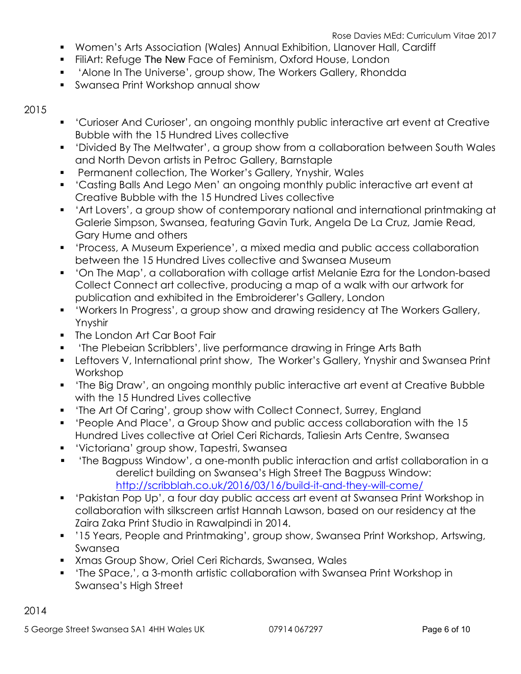- Women's Arts Association (Wales) Annual Exhibition, Llanover Hall, Cardiff
- FiliArt: Refuge The New Face of Feminism, Oxford House, London
- 'Alone In The Universe', group show, The Workers Gallery, Rhondda
- Swansea Print Workshop annual show

#### 2015

- 'Curioser And Curioser', an ongoing monthly public interactive art event at Creative Bubble with the 15 Hundred Lives collective
- 'Divided By The Meltwater', a group show from a collaboration between South Wales and North Devon artists in Petroc Gallery, Barnstaple
- Permanent collection, The Worker's Gallery, Ynyshir, Wales
- 'Casting Balls And Lego Men' an ongoing monthly public interactive art event at Creative Bubble with the 15 Hundred Lives collective
- 'Art Lovers', a group show of contemporary national and international printmaking at Galerie Simpson, Swansea, featuring Gavin Turk, Angela De La Cruz, Jamie Read, Gary Hume and others
- 'Process, A Museum Experience', a mixed media and public access collaboration between the 15 Hundred Lives collective and Swansea Museum
- 'On The Map', a collaboration with collage artist Melanie Ezra for the London-based Collect Connect art collective, producing a map of a walk with our artwork for publication and exhibited in the Embroiderer's Gallery, London
- 'Workers In Progress', a group show and drawing residency at The Workers Gallery, Ynyshir
- **The London Art Car Boot Fair**
- 'The Plebeian Scribblers', live performance drawing in Fringe Arts Bath
- **EXT** Leftovers V, International print show, The Worker's Gallery, Ynyshir and Swansea Print Workshop
- 'The Big Draw', an ongoing monthly public interactive art event at Creative Bubble with the 15 Hundred Lives collective
- 'The Art Of Caring', group show with Collect Connect, Surrey, England
- 'People And Place', a Group Show and public access collaboration with the 15 Hundred Lives collective at Oriel Ceri Richards, Taliesin Arts Centre, Swansea
- 'Victoriana' group show, Tapestri, Swansea
- 'The Bagpuss Window', a one-month public interaction and artist collaboration in a derelict building on Swansea's High Street The Bagpuss Window: http://scribblah.co.uk/2016/03/16/build-it-and-they-will-come/
- 'Pakistan Pop Up', a four day public access art event at Swansea Print Workshop in collaboration with silkscreen artist Hannah Lawson, based on our residency at the Zaira Zaka Print Studio in Rawalpindi in 2014.
- '15 Years, People and Printmaking', group show, Swansea Print Workshop, Artswing, Swansea
- Xmas Group Show, Oriel Ceri Richards, Swansea, Wales
- 'The SPace,', a 3-month artistic collaboration with Swansea Print Workshop in Swansea's High Street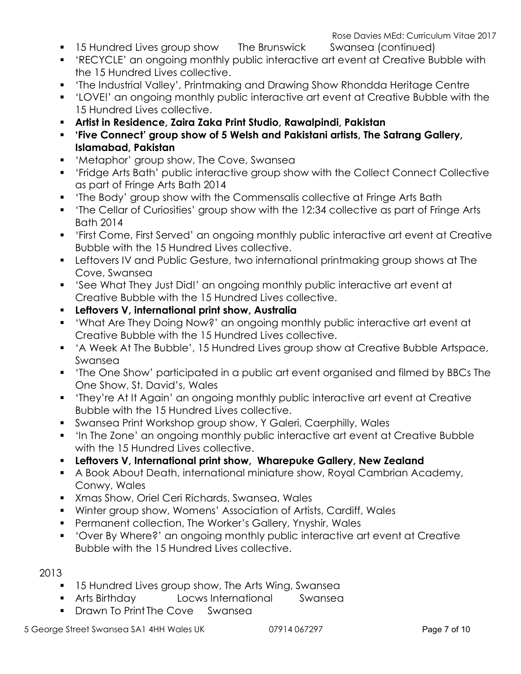- 
- 'RECYCLE' an ongoing monthly public interactive art event at Creative Bubble with the 15 Hundred Lives collective.
- 'The Industrial Valley', Printmaking and Drawing Show Rhondda Heritage Centre
- 'LOVE!' an ongoing monthly public interactive art event at Creative Bubble with the 15 Hundred Lives collective.
- Artist in Residence, Zaira Zaka Print Studio, Rawalpindi, Pakistan
- 'Five Connect' group show of 5 Welsh and Pakistani artists, The Satrang Gallery, Islamabad, Pakistan
- 'Metaphor' group show, The Cove, Swansea
- 'Fridge Arts Bath' public interactive group show with the Collect Connect Collective as part of Fringe Arts Bath 2014
- 'The Body' group show with the Commensalis collective at Fringe Arts Bath
- 'The Cellar of Curiosities' group show with the 12:34 collective as part of Fringe Arts Bath 2014
- 'First Come, First Served' an ongoing monthly public interactive art event at Creative Bubble with the 15 Hundred Lives collective.
- Leftovers IV and Public Gesture, two international printmaking group shows at The Cove, Swansea
- 'See What They Just Did!' an ongoing monthly public interactive art event at Creative Bubble with the 15 Hundred Lives collective.
- Leftovers V, international print show, Australia
- 'What Are They Doing Now?' an ongoing monthly public interactive art event at Creative Bubble with the 15 Hundred Lives collective.
- 'A Week At The Bubble', 15 Hundred Lives group show at Creative Bubble Artspace, Swansea
- 'The One Show' participated in a public art event organised and filmed by BBCs The One Show, St. David's, Wales
- 'They're At It Again' an ongoing monthly public interactive art event at Creative Bubble with the 15 Hundred Lives collective.
- Swansea Print Workshop group show, Y Galeri, Caerphilly, Wales
- 'In The Zone' an ongoing monthly public interactive art event at Creative Bubble with the 15 Hundred Lives collective.
- Leftovers V, International print show, Wharepuke Gallery, New Zealand
- A Book About Death, international miniature show, Royal Cambrian Academy, Conwy, Wales
- Xmas Show, Oriel Ceri Richards, Swansea, Wales
- Winter group show, Womens' Association of Artists, Cardiff, Wales
- **Permanent collection, The Worker's Gallery, Ynyshir, Wales**
- 'Over By Where?' an ongoing monthly public interactive art event at Creative Bubble with the 15 Hundred Lives collective.

#### 2013

- **15 Hundred Lives group show, The Arts Wing, Swansea**
- Arts Birthday Locws International Swansea
- **Drawn To Print The Cove Swansea**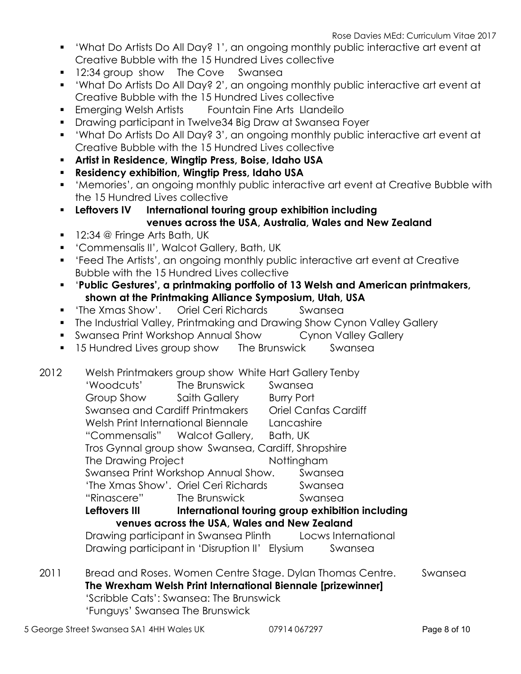- 'What Do Artists Do All Day? 1', an ongoing monthly public interactive art event at Creative Bubble with the 15 Hundred Lives collective
- **12:34 group show The Cove Swansea**
- 'What Do Artists Do All Day? 2', an ongoing monthly public interactive art event at Creative Bubble with the 15 Hundred Lives collective
- **Emerging Welsh Artists Fountain Fine Arts Llandeilo**
- Drawing participant in Twelve34 Big Draw at Swansea Foyer
- 'What Do Artists Do All Day? 3', an ongoing monthly public interactive art event at Creative Bubble with the 15 Hundred Lives collective
- Artist in Residence, Wingtip Press, Boise, Idaho USA
- Residency exhibition, Wingtip Press, Idaho USA
- 'Memories', an ongoing monthly public interactive art event at Creative Bubble with the 15 Hundred Lives collective
- **EXECT:** Leftovers IV International touring group exhibition including
	- venues across the USA, Australia, Wales and New Zealand
- 12:34 @ Fringe Arts Bath, UK
- 'Commensalis II', Walcot Gallery, Bath, UK
- 'Feed The Artists', an ongoing monthly public interactive art event at Creative Bubble with the 15 Hundred Lives collective
- 'Public Gestures', a printmaking portfolio of 13 Welsh and American printmakers, shown at the Printmaking Alliance Symposium, Utah, USA
- 'The Xmas Show'. Oriel Ceri Richards Swansea
- **The Industrial Valley, Printmaking and Drawing Show Cynon Valley Gallery**
- Swansea Print Workshop Annual Show Cynon Valley Gallery
- **15 Hundred Lives group show** The Brunswick Swansea
- 2012 Welsh Printmakers group show White Hart Gallery Tenby 'Woodcuts' The Brunswick Swansea
- Group Show Saith Gallery Burry Port Swansea and Cardiff Printmakers Oriel Canfas Cardiff Welsh Print International Biennale Lancashire "Commensalis" Walcot Gallery, Bath, UK Tros Gynnal group show Swansea, Cardiff, Shropshire The Drawing Project Nottingham Swansea Print Workshop Annual Show. Swansea 'The Xmas Show'. Oriel Ceri Richards Swansea "Rinascere" The Brunswick Swansea Leftovers III liternational touring group exhibition including venues across the USA, Wales and New Zealand Drawing participant in Swansea Plinth Locws International Drawing participant in 'Disruption II' Elysium Swansea
- 2011 Bread and Roses. Women Centre Stage. Dylan Thomas Centre. Swansea The Wrexham Welsh Print International Biennale [prizewinner] 'Scribble Cats': Swansea: The Brunswick 'Funguys' Swansea The Brunswick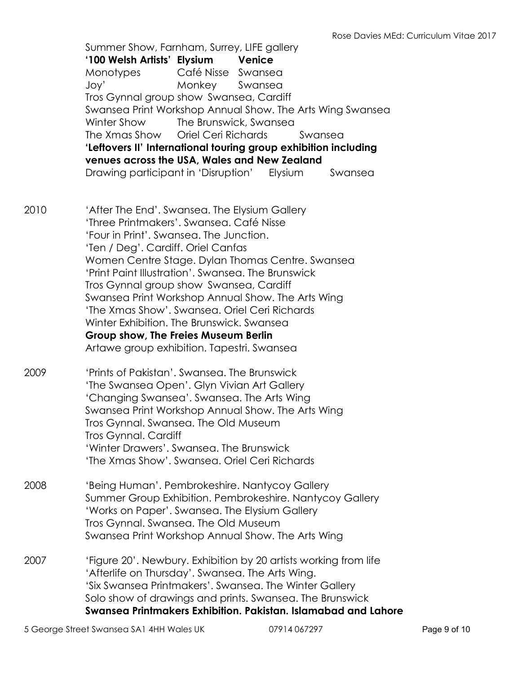Summer Show, Farnham, Surrey, LIFE gallery '100 Welsh Artists' Elysium Venice Monotypes Café Nisse Swansea Joy' Monkey Swansea Tros Gynnal group show Swansea, Cardiff Swansea Print Workshop Annual Show. The Arts Wing Swansea Winter Show The Brunswick, Swansea The Xmas Show Oriel Ceri Richards Swansea 'Leftovers II' International touring group exhibition including venues across the USA, Wales and New Zealand Drawing participant in 'Disruption' Elysium Swansea 2010 'After The End'. Swansea. The Elysium Gallery 'Three Printmakers'. Swansea. Café Nisse 'Four in Print'. Swansea. The Junction. 'Ten / Deg'. Cardiff. Oriel Canfas Women Centre Stage. Dylan Thomas Centre. Swansea 'Print Paint Illustration'. Swansea. The Brunswick Tros Gynnal group show Swansea, Cardiff Swansea Print Workshop Annual Show. The Arts Wing 'The Xmas Show'. Swansea. Oriel Ceri Richards Winter Exhibition. The Brunswick. Swansea Group show, The Freies Museum Berlin Artawe group exhibition. Tapestri. Swansea 2009 'Prints of Pakistan'. Swansea. The Brunswick 'The Swansea Open'. Glyn Vivian Art Gallery 'Changing Swansea'. Swansea. The Arts Wing Swansea Print Workshop Annual Show. The Arts Wing Tros Gynnal. Swansea. The Old Museum Tros Gynnal. Cardiff 'Winter Drawers'. Swansea. The Brunswick 'The Xmas Show'. Swansea. Oriel Ceri Richards 2008 'Being Human'. Pembrokeshire. Nantycoy Gallery Summer Group Exhibition. Pembrokeshire. Nantycoy Gallery 'Works on Paper'. Swansea. The Elysium Gallery Tros Gynnal. Swansea. The Old Museum Swansea Print Workshop Annual Show. The Arts Wing 2007 'Figure 20'. Newbury. Exhibition by 20 artists working from life 'Afterlife on Thursday'. Swansea. The Arts Wing. 'Six Swansea Printmakers'. Swansea. The Winter Gallery Solo show of drawings and prints. Swansea. The Brunswick Swansea Printmakers Exhibition. Pakistan. Islamabad and Lahore